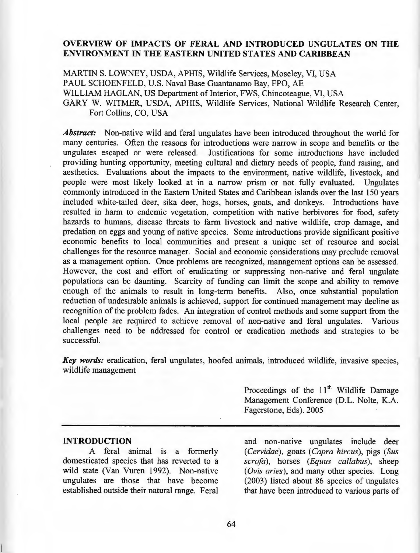### **OVERVIEW OF IMPACTS OF FERAL AND INTRODUCED UNGULATES ON THE ENVIRONMENT IN THE EASTERN UNITED STATES AND CARIBBEAN**

MARTIN S. LOWNEY, USDA, APHIS, Wildlife Services, Moseley, VI, USA PAUL SCHOENFELD, U.S. Naval Base Guantanamo Bay, FPO, AE WILLIAM HAGLAN, US Department of Interior, FWS, Chincoteague, VI, USA GARY W. WITMER, USDA, APHIS, Wildlife Services, National Wildlife Research Center, Fort Collins, CO, USA

*Abstract:* Non-native wild and feral ungulates have been introduced throughout the world for many centuries. Often the reasons for introductions were narrow in scope and benefits or the ungulates escaped or were released. Justifications for some introductions have included providing hunting opportunity, meeting cultural and dietary needs of people, fund raising, and aesthetics. Evaluations about the impacts to the environment, native wildlife, livestock, and people were most likely looked at in a narrow prism or not fully evaluated. Ungulates commonly introduced in the Eastern United States and Caribbean islands over the last 150 years included white-tailed deer, sika deer, hogs, horses, goats, and donkeys. Introductions have resulted in harm to endemic vegetation, competition with native herbivores for food, safety hazards to humans, disease threats to farm livestock and native wildlife, crop damage, and predation on eggs and young of native species. Some introductions provide significant positive economic benefits to local communities and present a unique set of resource and social challenges for the resource manager. Social and economic considerations may preclude removal as a management option. Once problems are recognized, management options can be assessed. However, the cost and effort of eradicating or suppressing non-native and feral ungulate populations can be daunting. Scarcity of funding can limit the scope and ability to remove enough of the animals to result in long-term benefits. Also, once substantial population reduction of undesirable animals is achieved, support for continued management may decline as recognition of the problem fades. An integration of control methods and some support from the local people are required to achieve removal of non-native and feral ungulates. Various challenges need to be addressed for control or eradication methods and strategies to be successful.

*Key words:* eradication, feral ungulates, hoofed animals, introduced wildlife, invasive species, wildlife management

**INTRODUCTION** 

A feral animal is a formerly domesticated species that has reverted to a wild state (Van Vuren 1992). Non-native ungulates are those that have become established outside their natural range. Feral Proceedings of the  $11<sup>th</sup>$  Wildlife Damage Management Conference (D.L. Nolte, K.A. Fagerstone, Eds). 2005

and non-native ungulates include deer *(Cervidae),* goats *(Capra hircus),* pigs *(Sus scrofa),* horses *(Equus ca/labus),* sheep *(Ovis aries),* and many other species. Long (2003) listed about 86 species of ungulates that have been introduced to various parts of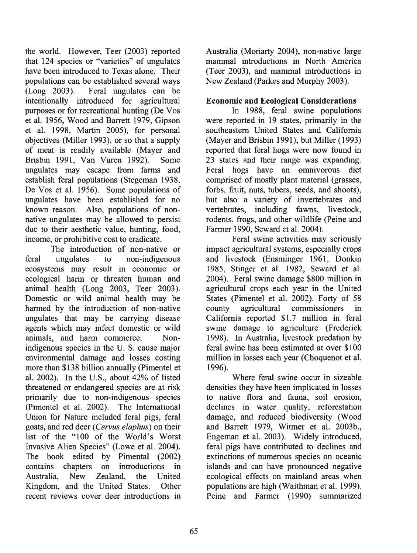the world. However, Teer (2003) reported that 124 species or "varieties" of ungulates have been introduced to Texas alone. Their populations can be established several ways (Long 2003). Feral ungulates can be intentionally introduced for agricultural purposes or for recreational hunting (De Vos et al. 1956, Wood and Barrett 1979, Gipson et al. 1998, Martin 2005), for personal objectives (Miller 1993), or so that a supply of meat is readily available (Mayer and Brisbin 1991, Van Vuren 1992). Some ungulates may escape from farms and establish feral populations (Stegeman 1938, De Vos et al. 1956). Some populations of ungulates have been established for no known reason. Also, populations of nonnative ungulates may be allowed to persist due to their aesthetic value, hunting, food, income, or prohibitive cost to eradicate.

The introduction of non-native or feral ungulates to non-indigenous ecosystems may result in economic or ecological harm or threaten human and animal health (Long 2003, Teer 2003). Domestic or wild animal health may be harmed by the introduction of non-native ungulates that may be carrying disease agents which may infect domestic or wild animals, and harm commerce. Nonindigenous species in the U. S. cause major environmental damage and losses costing more than \$138 billion annually (Pimentel et al. 2002). In the U.S., about 42% of listed threatened or endangered species are at risk primarily due to non-indigenous species (Pimentel et al. 2002). The International Union for Nature included feral pigs, feral goats, and red deer *(Cervus elaphus)* on their list of the "100 of the World's Worst Invasive Alien Species" (Lowe et al. 2004). The book edited by Pimental (2002) contains chapters on introductions in Australia, New Zealand, the United Kingdom, and the United States. Other recent reviews cover deer introductions in Australia (Moriarty 2004), non-native large mammal introductions in North America (Teer 2003), and mammal introductions in New Zealand (Parkes and Murphy 2003).

### **Economic and Ecological Considerations**

In 1988, feral swine populations were reported in 19 states, primarily in the southeastern United States and California (Mayer and Brisbin 1991), but Miller (1993) reported that feral hogs were now found in 23 states and their range was expanding. Feral hogs have an omnivorous diet comprised of mostly plant material (grasses, forbs, fruit, nuts, tubers, seeds, and shoots), but also a variety of invertebrates and vertebrates, including fawns, livestock, rodents, frogs, and other wildlife (Peine and Farmer 1990, Seward et al. 2004).

Feral swine activities may seriously impact agricultural systems, especially crops and livestock (Ensminger 1961, Donkin 1985, Stinger et al. 1982, Seward et al. 2004). Feral swine damage \$800 million in agricultural crops each year in the United States (Pimentel et al. 2002). Forty of 58 county agricultural commissioners in California reported \$1.7 million in feral swine damage to agriculture (Frederick 1998). In Australia, livestock predation by feral swine has been estimated at over \$100 million in losses each year (Choquenot et al. 1996).

Where feral swine occur in sizeable densities they have been implicated in losses to native flora and fauna, soil erosion, declines in water quality, reforestation damage, and reduced biodiversity (Wood and Barrett 1979, Witmer et al. 2003b., Engeman et al. 2003). Widely introduced, feral pigs have contributed to declines and extinctions of numerous species on oceanic islands and can have pronounced negative ecological effects on mainland areas when populations are high (Waithman et al. 1999). Peine and Farmer (1990) summarized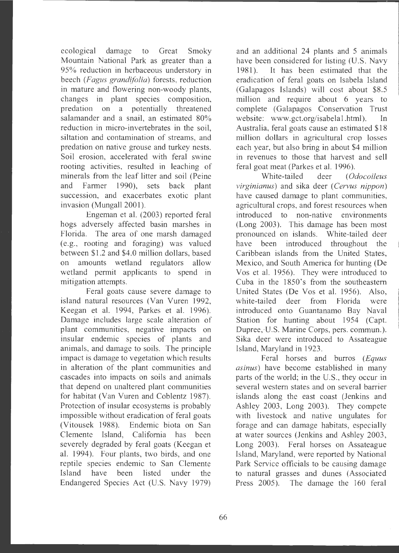ecological damage to Great Smoky Mountain National Park as greater than a 95% reduction in herbaceous understory in beech *(Fagus grandifolia)* forests, reduction in mature and flowering non-woody plants, changes in plant species composition, predation on a potentially threatened salamander and a snail, an estimated 80% reduction in micro-invertebrates in the soil. siltation and contamination of streams, and predation on native grouse and turkey nests. Soil erosion, accelerated with feral swine rooting activities, resulted in leaching of minerals from the leaf litter and soil (Peine and Farmer 1990), sets back plant succession, and exacerbates exotic plant invasion (Mungall 2001).

Engeman et al. (2003) reported feral hogs adversely affected basin marshes in Florida. The area of one marsh damaged (e.g., rooting and foraging) was valued between \$1.2 and \$4.0 million dollars, based on amounts wetland regulators allow wetland permit applicants to spend in mitigation attempts.

Feral goats cause severe damage to island natural resources (Van Vuren 1992, Keegan et al. 1994, Parkes et al. 1996). Damage includes large scale alteration of plant communities, negative impacts on insular endemic species of plants and animals, and damage to soils. The principle impact is damage to vegetation which results in alteration of the plant communities and cascades into impacts on soils and animals that depend on unaltered plant communities for habitat (Van Vuren and Coblentz 1987). Protection of insular ecosystems is probably impossible without eradication of feral goats (Vitousek 1988). Endemic biota on San Clemente Island, California has been severely degraded by feral goats (Keegan et al. 1994). Four plants, two birds, and one reptile species endemic to San Clemente Island have been listed under the Endangered Species Act (U.S. Navy 1979)

and an additional 24 plants and 5 animals have been considered for listing (U.S. Navy 1981). It has been estimated that the eradication of feral goats on Isabela Island (Galapagos Islands) will cost about \$8.5 million and require about 6 years to complete (Galapagos Conservation Trust website: www.gct.org/isabelal.html). In Australia, feral goats cause an estimated \$18 million dollars in agricultural crop losses each year, but also bring in about \$4 million in revenues to those that harvest and sell feral goat meat (Parkes et al. 1996).

White-tailed deer ( *Odocoileus virginianus)* and sika deer *(Cervus nippon)*  have caused damage to plant communities, agricultural crops, and forest resources when introduced to non-native environments (Long 2003). This damage has been most pronounced on islands. White-tailed deer have been introduced throughout the Caribbean islands from the United States, Mexico, and South America for hunting (De Vos et al. 1956). They were introduced to Cuba in the 1850's from the southeastern United States (De Vos et al. 1956). Also, white-tailed deer from Florida were introduced onto Guantanamo Bay Naval Station for hunting about 1954 (Capt. Dupree, U.S. Marine Corps, pers. commun.). Sika deer were introduced to Assateague Island, Maryland in 1923.

Feral horses and burros *(Equus asinus)* have become established in many parts of the world; in the U.S., they occur in several western states and on several barrier islands along the east coast (Jenkins and Ashley 2003, Long 2003). They compete with livestock and native ungulates for forage and can damage habitats, especially at water sources (Jenkins and Ashley 2003, Long 2003). Feral horses on Assateague Island, Maryland, were reported by National Park Service officials to be causing damage to natural grasses and dunes (Associated Press 2005). The damage the 160 feral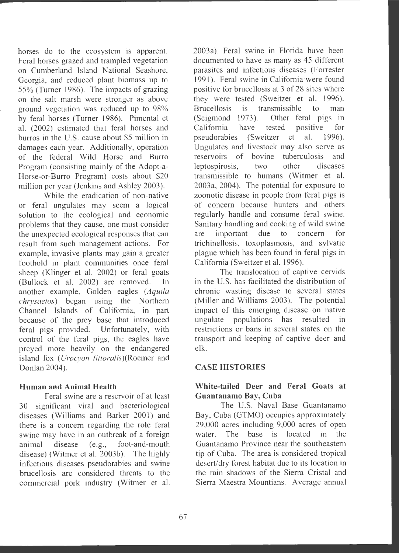horses do to the ecosystem is apparent. Feral horses grazed and trampled vegetation on Cumberland Island National Seashore, Georgia, and reduced plant biomass up to 55% (Turner 1986). The impacts of grazing on the salt marsh were stronger as above ground vegetation was reduced up to 98% by feral horses (Turner 1986). Pimental et al. (2002) estimated that feral horses and burros in the U.S. cause about \$5 million in damages each year. Additionally, operation of the federal Wild Horse and Burro Program (consisting mainly of the Adopt-a-Horse-or-Burro Program) costs about \$20 million per year (Jenkins and Ashley 2003).

While the eradication of non-native or feral ungulates may seem a logical solution to the ecological and economic problems that they cause, one must consider the unexpected ecological responses that can result from such management actions. For example, invasive plants may gain a greater foothold in plant communities once feral sheep (Klinger et al. 2002) or feral goats (Bullock et al. 2002) are removed. In another example, Golden eagles *(Aquila chrysaetos)* began using the Northern Channel Islands of California, in part because of the prey base that introduced feral pigs provided. Unfortunately, with control of the feral pigs, the eagles have preyed more heavily on the endangered island fox *(Urocyon littoralis)(Roemer* and Donlan 2004).

# **Human and Animal Health**

Feral swine are a reservoir of at least 30 significant viral and bacteriological diseases (Williams and Barker 2001) and there is a concern regarding the role feral swine may have in an outbreak of a foreign animal disease (e.g., foot-and-mouth disease) (Witmer et al. 2003b). The highly infectious diseases pseudorabies and swine brucellosis are considered threats to the commercial pork industry (Witmer et al.

2003a). Feral swine in Florida have been documented to have as many as 45 different parasites and infectious diseases (Forrester 1991). Feral swine in California were found positive for brucellosis at 3 of 28 sites where they were tested (Sweitzer et al. 1996). Brucellosis is transmissible to man (Seigmond 1973). Other feral pigs in California have tested positive for pseudorabies (Sweitzer et al. 1996). Ungulates and livestock may also serve as reservoirs of bovine tuberculosis and leptospirosis , two other diseases transmissible to humans (Witmer et al. 2003a, 2004). The potential for exposure to zoonotic disease in people from feral pigs is of concern because hunters and others regularly handle and consume feral swine. Sanitary handling and cooking of wild swine are important due to concern for trichinellosis, toxoplasmosis, and sylvatic <sup>p</sup>lague which has been found in feral pigs in California (Sweitzer et al. 1996).

The translocation of captive cervids in the U.S. has facilitated the distribution of chronic wasting disease to several states (Miller and Williams 2003). The potential impact of this emerging disease on native ungulate populations has resulted in restrictions or bans in several states on the transport and keeping of captive deer and elk.

# **CASE HISTORIES**

# **White-tailed Deer and Feral Goats at Guantanamo Bay, Cuba**

The U.S. Naval Base Guantanamo Bay, Cuba (GTMO) occupies approximately 29,000 acres including 9,000 acres of open water. The base is located in the Guantanamo Province near the southeastern tip of Cuba. The area is considered tropical desert/dry forest habitat due to its location in the rain shadows of the Sierra Cristal and Sierra Maestra Mountians. Average annual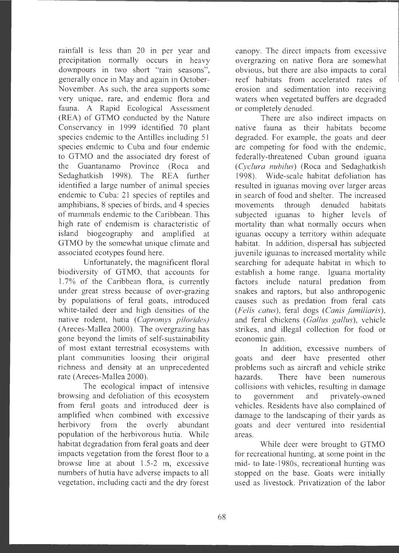rainfall is less than 20 in per year and precipitation normally occurs in heavy downpours in two short "rain seasons", generally once in May and again in October-November. As such, the area supports some very unique, rare, and endemic flora and fauna. A Rapid Ecological Assessment (REA) of GTMO conducted by the Nature Conservancy in 1999 identified 70 plant species endemic to the Antilles including 51 species endemic to Cuba and four endemic to GTMO and the associated dry forest of the Guantanamo Province (Roca and Sedaghatkish 1998). The REA further identified a large number of animal species endemic to Cuba: 21 species of reptiles and amphibians, 8 species of birds, and 4 species of mammals endemic to the Caribbean. This high rate of endemism is characteristic of island biogeography and amplified at GTMO by the somewhat unique climate and associated ecotypes found here.

Unfortunately, the magnificent floral biodiversity of GTMO, that accounts for 1. 7% of the Caribbean flora, is currently under great stress because of over-grazing by populations of feral goats, introduced white-tailed deer and high densities of the native rodent, hutia ( *Capromys pilorides)*  (Areces-Mallea 2000) . The overgrazing has gone beyond the limits of self-sustainability of most extant terrestrial ecosystems with plant communities loosing their original richness and density at an unprecedented rate (Areces-Mallea 2000).

The ecological impact of intensive browsing and defoliation of this ecosystem from feral goats and introduced deer is amplified when combined with excessive herbivory from the overly abundant population of the herbivorous hutia. While habitat degradation from feral goats and deer impacts vegetation from the forest floor to a browse line at about 1.5-2 m, excessive numbers of hutia have adverse impacts to all vegetation, including cacti and the dry forest

canopy. The direct impacts from excessive overgrazing on native flora are somewhat obvious, but there are also impacts to coral reef habitats from accelerated rates of erosion and sedimentation into receiving waters when vegetated buffers are degraded or completely denuded.

There are also indirect impacts on native fauna as their habitats become degraded. For example, the goats and deer are competing for food with the endemic, federally-threatened Cuban ground iguana ( *Cyclura nubilus)* (Roca and Sedaghatkish 1998). Wide-scale habitat defoliation has resulted in iguanas moving over larger areas in search of food and shelter. The increased movements through denuded habitats subjected iguanas to higher levels of mortality than what normally occurs when iguanas occupy a territory within adequate habitat. In addition, dispersal has subjected juvenile iguanas to increased mortality while searching for adequate habitat in which to establish a home range. Iguana mortality factors include natural predation from snakes and raptors, but also anthropogenic causes such as predation from feral cats *(Felis catus), feral dogs (Canis familiaris),* and feral chickens ( *Gallus gal/us) ,* vehicle strikes, and illegal collection for food or economic gam.

In addition, excessive numbers of goats and deer have presented other problems such as aircraft and vehicle strike hazards. There have been numerous collisions with vehicles, resulting in damage to government and privately-owned vehicles. Residents have also complained of damage to the landscaping of their yards as goats and deer ventured into residential areas.

While deer were brought to GTMO for recreational hunting, at some point in the mid- to late-1980s, recreational hunting was stopped on the base. Goats were initially used as livestock. Privatization of the labor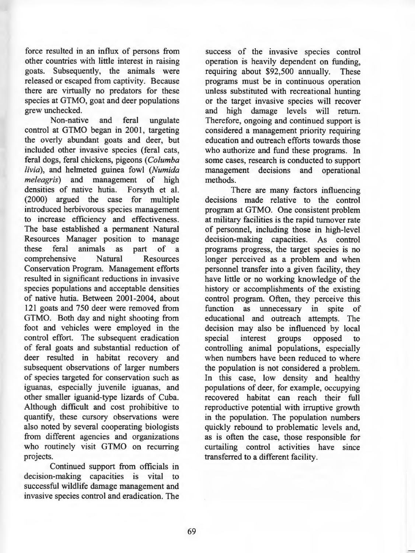force resulted in an influx of persons from other countries with little interest in raising goats. Subsequently, the animals were released or escaped from captivity. Because there are virtually no predators for these species at GTMO, goat and deer populations grew unchecked.

Non-native and feral ungulate control at GTMO began in 2001, targeting the overly abundant goats and deer, but included other invasive species ( feral cats, feral dogs, feral chickens, pigeons ( *Columba livia),* and helmeted guinea fowl *(Numida meleagris)* and management of high densities of native hutia. Forsyth et al. (2000) argued the case for multiple introduced herbivorous species management to increase efficiency and effectiveness. The base established a permanent Natural Resources Manager position to manage these feral animals as part of a comprehensive Natural Resources Conservation Program. Management efforts resulted in significant reductions in invasive species populations and acceptable densities of native hutia. Between 2001-2004, about 121 goats and 750 deer were removed from GTMO. Both day and night shooting from foot and vehicles were employed in the control effort. The subsequent eradication of feral goats and substantial reduction of deer resulted in habitat recovery and subsequent observations of larger numbers of species targeted for conservation such as iguanas, especially juvenile iguanas, and other smaller iguanid-type lizards of Cuba. Although difficult and cost prohibitive to quantify, these cursory observations were also noted by several cooperating biologists from different agencies and organizations who routinely visit GTMO on recurring projects.

Continued support from officials in decision-making capacities is vital to successful wildlife damage management and invasive species control and eradication. The

success of the invasive species control operation is heavily dependent on funding, requiring about \$92,500 annually. These programs must be in continuous operation unless substituted with recreational hunting or the target invasive species will recover and high damage levels will return. Therefore, ongoing and continued support is considered a management priority requiring education and outreach efforts towards those who authorize and fund these programs. In some cases, research is conducted to support management decisions and operational methods.

There are many factors influencing decisions made relative to the control program at GTMO. One consistent problem at military facilities is the rapid turnover rate of personnel, including those in high-level decision-making capacities. As control programs progress, the target species is no longer perceived as a problem and when personnel transfer into a given facility, they have little or no working knowledge of the history or accomplishments of the existing control program. Often, they perceive this function as unnecessary in spite of educational and outreach attempts. The decision may also be influenced by local special interest groups opposed to controlling animal populations, especially when numbers have been reduced to where the population is not considered a problem. In this case, low density and healthy populations of deer, for example, occupying recovered habitat can reach their full reproductive potential with irruptive growth in the population. The population numbers quickly rebound to problematic levels and, as is often the case, those responsible for curtailing control activities have since transferred to a different facility.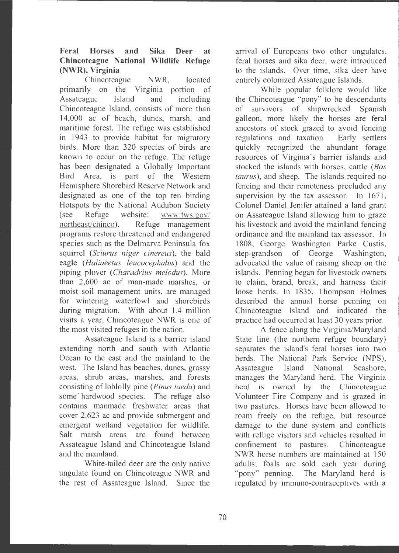### **Feral Horses and Sika Deer at Chincoteague National Wildlife Refuge (NWR), Virginia**

Chincoteague NWR, located primarily on the Virginia portion of Assateague Island and including Chincoteague Island, consists of more than 14,000 ac of beach, dunes, marsh, and maritime forest. The refuge was established in 1943 to provide habitat for migratory birds. More than 320 species of birds are known to occur on the refuge. The refuge has been designated a Globally Important Bird Area, is part of the Western Hemisphere Shorebird Reserve Network and designated as one of the top ten birding Hotspots by the National Audubon Society (see Refuge website: www.fws .gov/ northeast/chinco). Refuge management programs restore threatened and endangered species such as the Delmarva Peninsula fox squirrel *(Sciurus niger cinereus),* the bald eagle *(Haliaeetus leucocephalus)* and the piping plover *(Charadrius melodus)*. More than 2,600 ac of man-made marshes, or moist soil management units, are managed for wintering waterfowl and shorebirds during migration. With about 1.4 million visits a year, Chincoteague NWR is one of the most visited refuges in the nation.

Assateague Island is a barrier island extending north and south with Atlantic Ocean to the east and the mainland to the west. The Island has beaches, dunes, grassy areas, shrub areas, marshes, and forests consisting of loblolly pine *(Pinus taeda)* and some hardwood species. The refuge also contains manmade freshwater areas that cover 2,623 ac and provide submergent and emergent wetland vegetation for wildlife. Salt marsh areas are found between Assateague Island and Chincoteague Island and the mainland.

White-tailed deer are the only native ungulate found on Chincoteague NWR and the rest of Assateague Island. Since the

arrival of Europeans two other ungulates, feral horses and sika deer, were introduced to the islands. Over time, sika deer have entirely colonized Assateague Islands.

While popular folklore would like the Chincoteague "pony" to be descendants of survivors of shipwrecked Spanish galleon, more likely the horses are feral ancestors of stock grazed to avoid fencing regulations and taxation. Early settlers quickly recognized the abundant forage resources of Virginia's barrier islands and stocked the islands with horses, cattle *(Bos taurus),* and sheep. The islands required no fencing and their remoteness precluded any supervision by the tax assessor. In 1671, Colonel Daniel Jenifer attained a land grant on Assateague Island allowing him to graze his livestock and avoid the mainland fencing ordinance and the mainland tax assessor. In 1808, George Washington Parke Custis, step-grandson of George Washington, advocated the value of raising sheep on the islands. Penning began for livestock owners to claim, brand, break, and harness their loose herds. In 1835, Thompson Holmes described the annual horse penning on Chincoteague Island and indicated the practice had occurred at least 30 years prior.

A fence along the Virginia /Maryland State line (the northern refuge boundary) separates the island's feral horses into two herds. The National Park Service (NPS), Assateague Island National Seashore, manages the Maryland herd. The Virginia herd is owned by the Chincoteague Volunteer Fire Company and is grazed in two pastures. Horses have been allowed to roam freely on the refuge, but resource damage to the dune system and conflicts with refuge visitors and vehicles resulted in confinement to pastures. Chincoteague NWR horse numbers are maintained at 150 adults; foals are sold each year during "pony" penning. The Maryland herd is regulated by immuno-contraceptives with a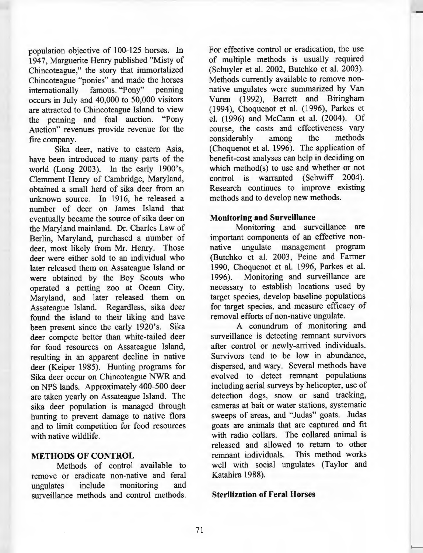population objective of 100-125 horses. In 1947, Marguerite Henry published "Misty of Chincoteague," the story that immortalized Chincoteague "ponies" and made the horses internationally famous. "Pony" penning occurs in July and 40,000 to 50,000 visitors are attracted to Chincoteague Island to view the penning and foal auction. "Pony Auction" revenues provide revenue for the fire company.

Sika deer, native to eastern Asia, have been introduced to many parts of the world (Long 2003). In the early 1900's, Clemment Henry of Cambridge, Maryland, obtained a small herd of sika deer from an unknown source. In 1916, he released a number of deer on James Island that eventually became the source of sika deer on the Maryland mainland. Dr. Charles Law of Berlin, Maryland, purchased a number of deer, most likely from Mr. Henry. Those deer were either sold to an individual who later released them on Assateague Island or were obtained by the Boy Scouts who operated a petting zoo at Ocean City, Maryland, and later released them on Assateague Island. Regardless, sika deer found the island to their liking and have been present since the early 1920's. Sika deer compete better than white-tailed deer for food resources on Assateague Island, resulting in an apparent decline in native deer (Keiper 1985). Hunting programs for Sika deer occur on Chincoteague NWR and on NPS lands. Approximately 400-500 deer are taken yearly on Assateague Island. The sika deer population is managed through hunting to prevent damage to native flora and to limit competition for food resources with native wildlife.

#### **METHODS OF CONTROL**

Methods of control available to remove or eradicate non-native and feral ungulates include monitoring and surveillance methods and control methods.

For effective control or eradication, the use of multiple methods is usually required (Schuyler et al. 2002, Butchko et al. 2003). Methods currently available to remove nonnative ungulates were summarized by Van Vuren (1992), Barrett and Biringham (1994), Choquenot et al. (1996), Parkes et el. (1996) and McCann et al. (2004). Of course, the costs and effectiveness vary considerably among the methods (Choquenot et al. 1996). The application of benefit-cost analyses can help in deciding on which method(s) to use and whether or not control is warranted (Schwiff 2004). Research continues to improve existing methods and to develop new methods.

#### **Monitoring and Surveillance**

Monitoring and surveillance are important components of an effective nonnative ungulate management program (Butchko et al. 2003, Peine and Farmer 1990, Choquenot et al. 1996, Parkes et al. 1996). Monitoring and surveillance are necessary to establish locations used by target species, develop baseline populations for target species, and measure efficacy of removal efforts of non-native ungulate.

A conundrum of monitoring and surveillance is detecting remnant survivors after control or newly-arrived individuals. Survivors tend to be low in abundance, dispersed, and wary. Several methods have evolved to detect remnant populations including aerial surveys by helicopter, use of detection dogs, snow or sand tracking, cameras at bait or water stations, systematic sweeps of areas, and "Judas" goats. Judas goats are animals that are captured and fit with radio collars. The collared animal is released and allowed to return to other remnant individuals. This method works well with social ungulates (Taylor and Katahira 1988).

#### **Sterilization of Feral Horses**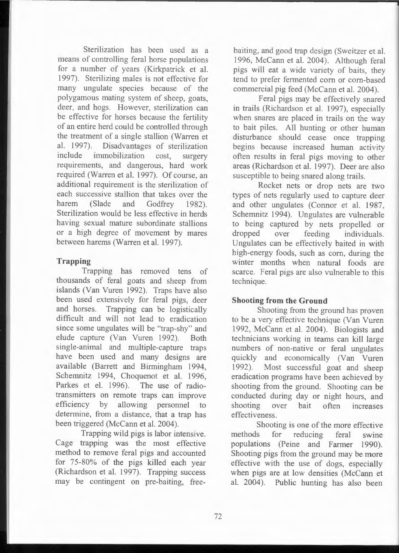Sterilization has been used as a means of controlling feral horse populations for a number of years (Kirkpatrick et al. 1997). Sterilizing males is not effective for many ungulate species because of the polygamous mating system of sheep, goats, deer, and hogs. However, sterilization can be effective for horses because the fertility of an entire herd could be controlled through the treatment of a single stallion (Warren et al. 1997). Disadvantages of sterilization include immobilization cost, surgery requirements, and dangerous, hard work required (Warren et al. 1997). Of course, an additional requirement is the sterilization of each successive stallion that takes over the harem (Slade and Godfrey 1982). Sterilization wouid be less effective in herds having sexual mature subordinate stallions or a high degree of movement by mares between harems (Warren et al. 1997).

#### **Trapping**

Trapping has removed tens of thousands of feral goats and sheep from islands (Van Vuren 1992). Traps have also been used extensively for feral pigs, deer and horses. Trapping can be logistically difficult and will not lead to eradication since some ungulates will be "trap-shy" and elude capture (Van Vuren 1992). Both single-animal and multiple-capture traps have been used and many designs are available (Barrett and Birmingham 1994, Schemnitz 1994, Choquenot et al. 1996, Parkes et el. 1996). The use of radiotransmitters on remote traps can improve efficiency by allowing personnel to determine, from a distance, that a trap has been triggered (McCann et al. 2004).

Trapping wild pigs is labor intensive . Cage trapping was the most effective method to remove feral pigs and accounted for 75-80% of the pigs killed each year (Richardson et al. 1997). Trapping success may be contingent on pre-baiting, free-

baiting, and good trap design (Sweitzer et al. 1996, McCann et al. 2004). Although feral pigs will eat a wide variety of baits, they tend to prefer fermented corn or com-based commercial pig feed (McCann et al. 2004).

Feral pigs may be effectively snared in trails (Richardson et al. 1997), especially when snares are placed in trails on the way to bait piles. All hunting or other human disturbance should cease once trapping begins because increased human activity often results in feral pigs moving to other areas (Richardson et al. 1997). Deer are also susceptible to being snared along trails.

Rocket nets or drop nets are two types of nets regularly used to capture deer and other ungulates (Connor et al. 1987, Schemnitz 1994). Ungulates are vulnerable to being captured by nets propelled or dropped over feeding individuals. Ungulates can be effectively baited in with high-energy foods, such as com, during the winter months when natural foods are scarce. Feral pigs are also vulnerable to this technique.

#### **Shooting from the Ground**

Shooting from the ground has proven to be a very effective technique (Van Vuren 1992, McCann et al. 2004). Biologists and technicians working in teams can kill large numbers of non-native or feral ungulates quickly and economically (Van Vuren 1992). Most successful goat and sheep eradication programs have been achieved by shooting from the ground. Shooting can be conducted during day or night hours, and shooting over bait often increases effectiveness.

Shooting is one of the more effective methods for reducing feral swine populations (Peine and Farmer 1990). Shooting pigs from the ground may be more effective with the use of dogs, especially when pigs are at low densities (McCann et al. 2004). Public hunting has also been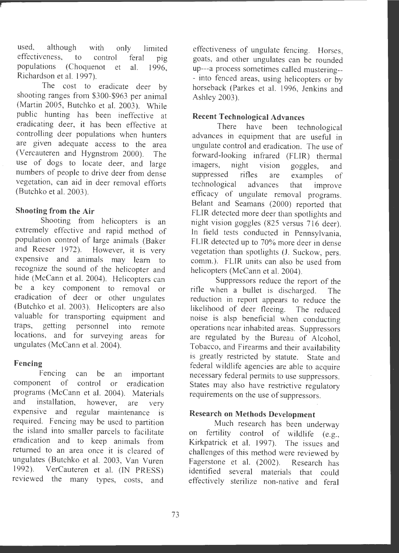used, although with only limited effectiveness, to control feral pig populations (Choquenot et al. 1996, Richardson et al. 1997).

The cost to eradicate deer by shooting ranges from \$300-\$963 per animal (Martin 2005, Butchko et al. 2003). While public hunting has been ineffective at eradicating deer, it has been effective at controlling deer populations when hunters are given adequate access to the area (Vercauteren and Hygnstrom 2000). The use of dogs to locate deer, and large numbers of people to drive deer from dense vegetation, can aid in deer removal efforts (Butchko et al. 2003).

### **Shooting from the Air**

Shooting from helicopters is an extremely effective and rapid method of population control of large animals (Baker and Reeser 1972). However, it is very expensive and animals may learn to recognize the sound of the helicopter and hide (McCann et al. 2004). Helicopters can be a key component to removal or eradication of deer or other ungulates (Butchko et al. 2003). Helicopters are also valuable for transporting equipment and traps, getting personnel into remote locations, and for surveying areas for ungulates (McCann et al. 2004).

### **Fencing**

Fencing can be an important component of control or eradication programs (McCann et al. 2004). Materials and installation, however, are very expensive and regular maintenance is required. Fencing may be used to partition the island into smaller parcels to facilitate eradication and to keep animals from returned to an area once it is cleared of ungulates (Butchko et al. 2003, Van Vuren 1992). VerCauteren et al. (IN PRESS) reviewed the many types, costs, and

effectiveness of ungulate fencing. Horses, goats, and other ungulates can be rounded up---a process sometimes called mustering--- into fenced areas, using helicopters or by horseback (Parkes et al. 1996, Jenkins and Ashley 2003) .

### **Recent Technological Advances**

There have been technological advances in equipment that are useful in ungulate control and eradication. The use of forward-looking infrared (FLIR) thermal<br>imagers, night vision googles and imagers, night vision goggles, and<br>suppressed rifles are examples of suppressed rifles are examples of<br>technological advances that improve technological advances that improve efficacy of ungulate removal programs. Belant and Seamans (2000) reported that FUR detected more deer than spotlights and night vision goggles (825 versus  $716$  deer). In field tests conducted in Pennsylvania, FUR detected up to 70% more deer in dense vegetation than spotlights (J. Suckow, pers. comm.). FLIR units can also be used from helicopters (McCann et al. 2004).

Suppressors reduce the report of the rifle when a bullet is discharged . The reduction in report appears to reduce the likelihood of deer fleeing. The reduced noise is alsp beneficial when conducting operations near inhabited areas. Suppressors are regulated by the Bureau of Alcohol, Tobacco, and Firearms and their availability is greatly restricted by statute. State and federal wildlife agencies are able to acquire necessary federal permits to use suppressors. States may also have restrictive regulatory requirements on the use of suppressors.

### **Research on Methods Development**

Much research has been underway on fertility control of wildlife (e.g., Kirkpatrick et al. 1997). The issues and challenges of this method were reviewed by Fagerstone et al. (2002). Research has identified several materials that could effectively sterilize non-native and feral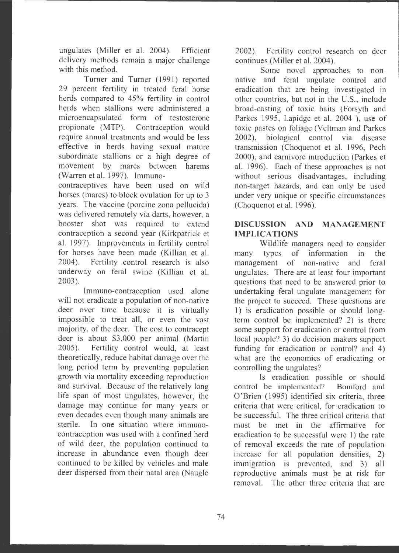ungulates (Miller et al. 2004). Efficient delivery methods remain a major challenge with this method.

Turner and Turner (1991) reported 29 percent fertility in treated feral horse herds compared to 45% fertility in control herds when stallions were administered a microencapsulated form of testosterone propionate (MTP). Contraception would require annual treatments and would be less effective in herds having sexual mature subordinate stallions or a high degree of movement by mares between harems (Warren et al. 1997). Immuno-

contraceptives have been used on wild horses (mares) to block ovulation for up to 3 years. The vaccine (porcine zona pellucida) was delivered remotely via darts, however, a booster shot was required to extend contraception a second year (Kirkpatrick et al. 1997). Improvements in fertility control for horses have been made (Killian et al. 2004). Fertility control research is also underway on feral swine (Killian et al. 2003).

Immuno-contraception used alone will not eradicate a population of non-native deer over time because it is virtually impossible to treat all, or even the vast majority, of the deer. The cost to contracept deer is about \$3,000 per animal (Martin 2005). Fertility control would, at least theoretically, reduce habitat damage over the long period term by preventing population growth via mortality exceeding reproduction and survival. Because of the relatively long life span of most ungulates, however, the damage may continue for many years or even decades even though many animals are sterile. In one situation where immunocontraception was used with a confined herd of wild deer, the population continued to increase in abundance even though deer continued to be killed by vehicles and male deer dispersed from their natal area (Naugle

2002). Fertility control research on deer continues (Miller et al. 2004).

Some novel approaches to nonnative and feral ungulate control and eradication that are being investigated in other countries, but not in the U.S., include broad-casting of toxic baits (Forsyth and Parkes 1995, Lapidge et al. 2004 ), use of toxic pastes on foliage (Veltman and Parkes 2002), biological control via disease transmission (Choquenot et al. 1996, Pech 2000), and carnivore introduction (Parkes et al. 1996). Each of these approaches is not without serious disadvantages, including non-target hazards, and can only be used under very unique or specific circumstances (Choquenot et al. 1996).

# **DISCUSSION AND MANAGEMENT IMPLICATIONS**

Wildlife managers need to consider many types of information in the management of non-native and feral ungulates. There are at least four important questions that need to be answered prior to undertaking feral ungulate management for the project to succeed. These questions are I) is eradication possible or should longterm control be implemented? 2) is there some support for eradication or control from local people? 3) do decision makers support funding for eradication or control? and 4) what are the economics of eradicating or controlling the ungulates?

Is eradication possible or should control be implemented? Bomford and O'Brien (1995) identified six criteria, three criteria that were critical, for eradication to be successful. The three critical criteria that must be met in the affirmative for eradication to be successful were 1) the rate of removal exceeds the rate of population increase for all population densities, 2) immigration is prevented, and 3) all reproductive animals must be at risk for removal. The other three criteria that are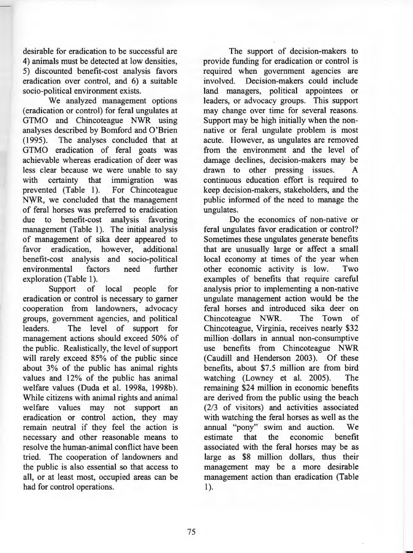desirable for eradication to be successful are 4) animals must be detected at low densities, 5) discounted benefit-cost analysis favors eradication over control, and 6) a suitable socio-political environment exists.

We analyzed management options ( eradication or control) for feral ungulates at GTMO and Chincoteague NWR using analyses described by Bomford and O'Brien (1995). The analyses concluded that at GTMO eradication of feral goats was achievable whereas eradication of deer was less clear because we were unable to say with certainty that immigration was prevented (Table 1). For Chincoteague **NWR,** we concluded that the management of feral horses was preferred to eradication due to benefit-cost analysis favoring management (Table 1). The initial analysis of management of sika deer appeared to favor eradication, however, additional benefit-cost analysis and socio-political environmental factors need further exploration (Table 1).

Support of local people for eradication or control is necessary to gamer cooperation from landowners, advocacy groups, government agencies, and political leaders. The level of support for management actions should exceed 50% of the public. Realistically, the level of support will rarely exceed 85% of the public since about 3% of the public has animal rights values and 12% of the public has animal welfare values (Duda et al. 1998a, 1998b). While citizens with animal rights and animal welfare values may not support an eradication or control action, they may remain neutral if they feel the action is necessary and other reasonable means to resolve the human-animal conflict have been tried. The cooperation of landowners and the public is also essential so that access to all, or at least most, occupied areas can be had for control operations.

The support of decision-makers to provide funding for eradication or control is required when government agencies are involved. Decision-makers could include land managers, political appointees or leaders, or advocacy groups. This support may change over time for several reasons. Support may be high initially when the nonnative or feral ungulate problem is most acute. However, as ungulates are removed from the environment and the level of damage declines, decision-makers may be drawn to other pressing issues. A continuous education effort is required to keep decision-makers, stakeholders, and the public informed of the need to manage the ungulates.

Do the economics of non-native or feral ungulates favor eradication or control? Sometimes these ungulates generate benefits that are unusually large or affect a small local economy at times of the year when other economic activity is low. Two examples of benefits that require careful analysis prior to implementing a non-native ungulate management action would be the feral horses and introduced sika deer on Chincoteague NWR. The Town of Chincoteague, Virginia, receives nearly \$32 million ·dollars in annual non-consumptive use benefits from Chincoteague NWR (Caudill and Henderson 2003). Of these benefits, about \$7.5 million are from bird watching (Lowney et al. 2005). The remaining \$24 million in economic benefits are derived from the public using the beach (2/3 of visitors) and activities associated with watching the feral horses as well as the annual "pony" swim and auction. We estimate that the economic benefit associated with the feral horses may be as large as \$8 million dollars, thus their management may be a more desirable management action than eradication (Table  $1$ .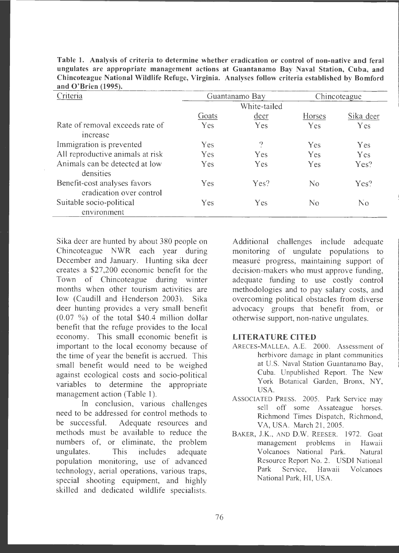| Criteria                                                 | Guantanamo Bay |                                  | Chincoteague   |                             |
|----------------------------------------------------------|----------------|----------------------------------|----------------|-----------------------------|
|                                                          | White-tailed   |                                  |                |                             |
|                                                          | Goats          | $\frac{\text{deer}}{\text{det}}$ | Horses         | Sika deer                   |
| Rate of removal exceeds rate of                          | Yes            | Yes                              | Yes            | <b>Y</b> es                 |
| increase                                                 |                |                                  |                |                             |
| Immigration is prevented                                 | <b>Yes</b>     | $\overline{\mathcal{L}}$         | Yes            | Yes                         |
| All reproductive animals at risk                         | Yes.           | Yes                              | <b>Yes</b>     | Yes                         |
| Animals can be detected at low<br>densities              | <b>Yes</b>     | Yes                              | Yes            | Yes?                        |
| Benefit-cost analyses favors<br>eradication over control | Yes            | Yes?                             | N <sub>0</sub> | Yes?                        |
| Suitable socio-political<br>environment                  | <b>Yes</b>     | <b>Yes</b>                       | N <sub>0</sub> | $\overline{N}$ <sup>O</sup> |

**Table I. Analysis of criteria to determine whether eradication or control of non-native and feral ungulates are appropriate management actions at Guantanamo Bay Naval Station , Cub <sup>a</sup> , and Chincoteague National Wildlife Refuge, Virginia . Analyses follow criteria established by Bomford and O'Brien (1995).** 

Sika deer are hunted by about 380 people on Chincoteague NWR each year during December and January. Hunting sika deer creates a \$27,200 economic benefit for the Town of Chincoteague during winter months when other tourism activities are low (Caudill and Henderson 2003). Sika deer hunting provides a very small benefit  $(0.07 \%)$  of the total \$40.4 million dollar benefit that the refuge provides to the local economy. This small economic benefit is important to the local economy because of the time of year the benefit is accrued. This small benefit would need to be weighed against ecological costs and socio-political variables to determine the appropriate management action (Table 1).

In conclusion, various challenges need to be addressed for control methods to . be successful. Adequate resources and methods must be available to reduce the numbers of, or eliminate, the problem ungulates. This includes adequate population monitoring, use of advanced technology, aerial operations, various traps, special shooting equipment, and highly skilled and dedicated wildlife specialists.

Additional challenges include adequate monitoring of ungulate populations to measure progress, maintaining support of decision-makers who must approve funding, adequate funding to use costly control methodologies and to pay salary costs, and overcoming political obstacles from diverse advocacy groups that benefit from, or otherwise support, non-native ungulates.

#### **LITERATURE CITED**

- ARECES-MALLEA, A.E. 2000. Assessment of herbivore damage in plant communities at U.S. Naval Station Guantanamo Bay , Cuba. Unpublished Report. The New York Botanical Garden, Bronx, NY, USA.
- ASSOCIATED PRESS. 2005. Park Service may sell off some Assateague horses. Richmond Times Dispatch, Richmond, VA, USA. March 21, 2005.
- BAKER, J.K., AND D.W. REESER. 1972. Goat management problems in Hawaii Volcanoes National Park . Natural Resource Report No. 2. USDI National Park Service, Hawaii Volcanoes National Park, HI, USA.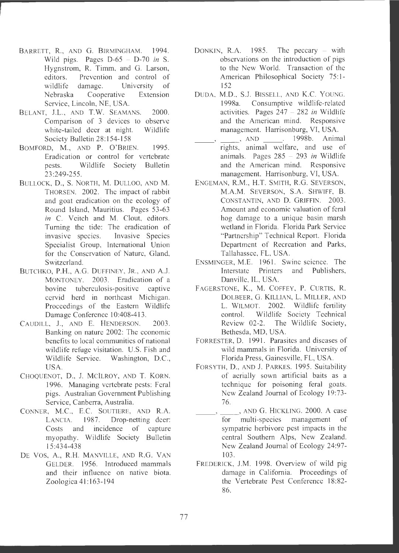- BARRETT, R., AND G. BIRMINGHAM. 1994. Wild pigs. Pages  $D-65 - D-70$  *in* S. Hygnstrom, R. Timm, and G. Larson. editors. Prevention and control of wildlife damage. University of Nebraska Cooperative Extension Service, Lincoln, NE, USA.
- BELANT, J.L., AND T.W. SEAMANS. 2000. Comparison of 3 devices to observe white-tailed deer at night. Wildlife Society Bulletin 28:154-158
- BOMFORD, M., AND P. O'BRIEN. 1995. Eradication or control for vertebrate pests. Wildlife Society Bulletin 23:249-255.
- BULLOCK, 0. , S. NORTH, **M.** OULLOO, AND **M.**  THORSEN. 2002. The impact of rabbit and goat eradication on the ecology of Round Island, Mauritius. Pages 53-63 *in* C. Veitch and M. Clout, editors. Turning the tide: The eradication of **invasive species . Invasive Species**  Specialist Group, International Union for the Conservation of Nature, Gland, Switzerland.
- BUTCHKO, P.H., A.G. DUFFINEY, JR., AND A.J. MONTONEY. 2003. Eradication of a bovine tuberculosis-positive captive cervid herd in northeast Michigan. Proceedings of the Eastern Wildlife Damage Conference 10:408-413.
- CAUDILL, J., AND E. HENDERSON. 2003. Banking on nature 2002: The economic benefits to local communities of national wildlife refuge visitation. U.S. Fish and Wildlife Service. Washington, D.C., USA.
- CHOOUENOT, D., J. MCILROY, AND T. KORN. 1996. Managing vertebrate pests: Feral pigs. Australian Government Publishing Service, Canberra, Australia.
- CONNER, M.C., E.C. SOUTIERE, AND R.A. LANCIA. 1987. Drop-netting deer: Costs and incidence of capture myopathy. Wildlife Society Bulletin 15:434-438
- DE VOS, A., R.H. MANVILLE, AND R.G. VAN GELDER. 1956. Introduced mammals and their influence on native biota. Zoologica 41: 163-194
- DONKIN, R.A.  $1985$ . The peccary with observations on the introduction of pigs to the New World. Transaction of the American Philosophical Society 75:1-152
- DUDA, M.D., S.J. BISSELL, AND K.C. YOUNG. 1998a. Consumptive wildlife-related activities. Pages 247 - 282 *in* Wildlife and the American mind. Responsive management. Harrisonburg, VI, USA.
- , AND . 1998b. Animal rights, animal welfare, and use of animals. Pages 285 - 293 *in* Wildlife and the American mind. Responsive management. Harrisonburg, VI, USA.
- ENGEMAN, **R.M.,** H.T. SMITH, R.G. SEVERSON, M.A.M . SEVERSON, S.A. SHWIFF, B. CONSTANTIN, AND D. GRIFFIN. 2003. Amount and economic valuation of feral hog damage to a unique basin marsh wetland in Florida. Florida Park Service "Partnership" Technical Report. Florida Department of Recreation and Parks, Tallahassee, FL, USA.
- ENSMINGER, M.E. 1961. Swine science. The Interstate Printers and Publishers, Danville, IL, USA.
- FAGERSTONE, **K., M.** COFFEY, **P.** CURTIS, **R.**  OOLBEER, **G.** KlLLIAN, L. MILLER, AND L. WILMOT. 2002. Wildlife fertility control. Wildlife Society Technical Review 02-2. The Wildlife Society, Bethesda, MD, USA.
- FORRESTER, D. 1991. Parasites and diseases of wild mammals in Florida. University of Florida Press, Gainesville, FL, USA.
- FORSYTH, D., AND J. PARKES. 1995. Suitability of aerially sown artificial baits as a technique for poisoning feral goats. New Zealand Journal of Ecology 19:73- 76.
- , AND G. HICKLING. 2000. A case for multi-species management of sympatric herbivore pest impacts in the central Southern Alps, New Zealand. New Zealand Journal of Ecology 24:97- 103.
- FREDERICK, J.M. 1998. Overview of wild pig damage in California. Proceedings of the Vertebrate Pest Conference 18:82- 86.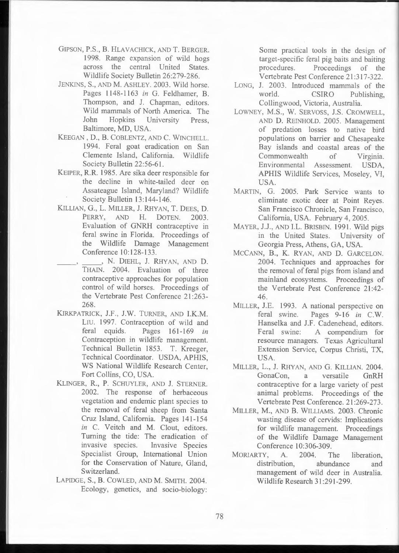- GIPSON, P.S., B. HLAVACHICK, AND T. BERGER. 1998. Range expansion of wild hogs across the central United States. Wildlife Society Bulletin 26:279-286.
- JENKINS, S., AND M. ASHLEY. 2003. Wild horse. Pages 1148-1163 in G. Feldhamer, B. Thompson, and J. Chapman, editors. Wild mammals of North America. The John Hopkins University Press. Baltimore, MD, USA.
- KEEGAN, D., B. COBLENTZ, AND C. WINCHELL. 1994. Feral goat eradication on San Clemente Island, California. Wildlife Society Bulletin 22:56-61.
- KEIPER, **R.R.** 1985. Are sika deer responsible for the decline in white-tailed deer on Assateague Island, Maryland? Wildlife Society Bulletin 13:144-146.
- KILLIAN, G. , L. MILLER, J. RHYAN, T. DEES, D. PERRY, AND H. DOTEN. 2003. Evaluation of GNRH contraceptive in feral swine in Florida. Proceedings of the Wildlife Damage Management Conference 10: 128-133.
- $\sim$  ,  $\sim$  ,  $\sim$  ,  $\sim$ , N. DIEHL, J. RHYAN, AND D. THAIN. 2004. Evaluation of three contraceptive approaches for population control of wild horses. Proceedings of the Vertebrate Pest Conference 21 :263- 268.
- KIRKPATRICK, J.F. , J.W. TURNER, AND **I.K .M .**  LIU. 1997. Contraception of wild and feral equids. Pages 161-169 *in*  Contraception in wildlife management. Technical Bulletin 1853. T. Kreeger, Technical Coordinator. USDA, APHIS. WS National Wildlife Research Center, Fort Collins, CO, USA.
- KLINGER, **R., P.** SCHUYLER, AND J. STERNER. 2002. The response of herbaceous vegetation and endemic plant species to the removal of feral sheep from Santa Cruz Island, California. Pages 141-154 *in* C. Veitch and M. Clout, editors. Turning the tide: The eradication of invasive species. Invasive Species Specialist Group, International Union for the Conservation of Nature, Gland, Switzerland.
- LAPIDGE, S., B. COWLED, AND M. SMITH. 2004. Ecology, genetics, and socio-biology:

Some practical tools in the design of target-specific feral pig baits and baiting<br>procedures. Proceedings of the Proceedings of the Vertebrate Pest Conference 21 :3 I 7-322.

- LONG, J. 2003. Introduced mammals of the world. CSIRO Publishing. Collingwood, Victoria, Australia.
- LOWNEY, M.S., W. SERVOSS, J.S. CROMWELL, AND D. REINHOLD. 2005. Management of predation losses to native bird populations on barrier and Chesapeake Bay islands and coastal areas of the Commonwealth of Virginia. Environmental Assessment. USDA, APHIS Wildlife Services, Moseley, VI, USA.
- MARTIN, G. 2005. Park Service wants to eliminate exotic deer at Point Reyes. San Francisco Chronicle, San Francisco, California, USA. February 4, 2005.
- MAYER, J.J., AND l.L. BRISBIN. 1991. Wild pigs in the United States. University of Georgia Press, Athens, GA, USA.
- MCCANN, **B., K.** RYAN, AND D. GARCELON. 2004. Techniques and approaches for the removal of feral pigs from island and mainland ecosystems. Proceedings of the Vertebrate Pest Conference 21 :42- 46.
- MILLER, J.E. 1993. A national perspective on feral swine. Pages 9-16 *in* C.W. Hanselka and J.F. Cadenehead, editors. Feral swine: A compendium for resource managers. Texas Agricultural Extension Service, Corpus Christi, TX, USA.
- MILLER, L., J. RHYAN, AND G. KILLIAN. 2004. GonaCon, a versatile GnRH contraceptive for a large variety of pest animal problems. Proceedings of the Vertebrate Pest Conference. 21:269-273.
- MILLER, M., AND B. WILLIAMS. 2003. Chronic wasting disease of cervids: Implications for wildlife management. Proceedings of the Wildlife Damage Management Conference 10:306-309.
- MORIARTY, A. 2004. The liberation, distribution, abundance and management of wild deer in Australia. Wildlife Research 31:291-299.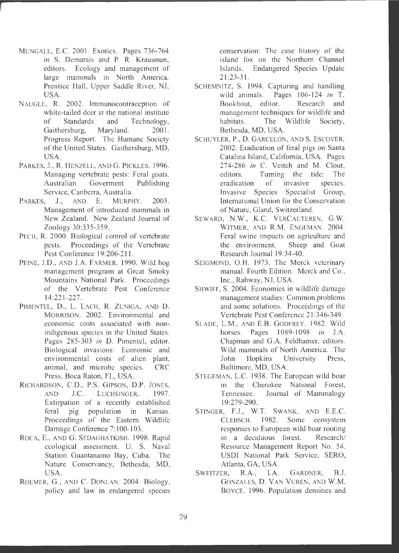- MUNGALL, E.C. 2001. Exotics. Pages 736-764 *in* S. Demarais and P. R. Krausman, editors. Ecology and management of large mammals in North America. Prentice Hall, Upper Saddle River, NJ, USA.
- NAUGLE, R. 2002. Immunocontraception of white-tailed deer at the national institute of Standards and Technology, Gaithersburg, Maryland. 2001. Progress Report. The Humane Society of the United States. Gaithersburg, MD , USA.
- PARKES, J., R. HENZELL, AND G. PICKLES. 1996. Managing vertebrate pests: Feral goats. Australian Goverment Publishing Service, Canberra, Australia.
- PARKES, J., AND E. MURPHY. 2003. Management of introduced mammals in New Zealand. New Zealand Journal of Zoology 30:335-359.
- PECH, R. 2000. Biological control of vertebrate pests. Proceedings of the Vertebrate Pest Conference 19:206-211.
- PErNE, J.D., AND J.A. FARMER. 1990. Wild hog management program at Great Smoky Mountains National Park. Proceedings of the Vertebrate Pest Conference 14:221-227 .
- PIMENTEL, **D.,** L. LACH, **R.** ZUNIGA, AND **D.**  MORRISON. 2002. Environmental and economic costs associated with nonindigenous species in the United States. Pages 285-303 *in* D. Pimentel, editor. Biological invasions: Economic and environmental costs of alien plant, animal, and microbe species. CRC Press, Boca Raton, FL, USA.
- RICHARDSON, C.D., P.S. GIPSON, D.P. JONES, AND J.C. LUCHSINGER. 1997. Extirpation of a recently established feral pig population in Kansas. Proceedings of the Eastern Wildlife Damage Conference 7:100-103.
- ROCA, E., AND G. SEDAGHATKISH. 1998. Rapid ecological assessment. U. S. Naval Station Guantanamo Bay, Cuba. The Nature Conservancy, Bethesda, MD, USA.
- ROEMER, G., AND C. DONLAN. 2004. Biology, policy and law in endangered species

conservation: The case history of the island fox on the Northern Channel Islands . Endangered Species Update 21 :23-31.

- SCHEMNITZ, S. 1994. Capturing and handling wild animals. Pages 106-124 *in* T. Bookhout, editor, Research and management techniques for wildlife and habitats. The Wildlife Society, Bethesda, MD, USA.
- SCHUYLER, P., D. GARCELON, AND S. ESCOVER. 2002. Eradication of feral pigs on Santa Catalina Island, California, USA . Pages 274-286 *in* C. Veitch and M. Clout, editors. Turning the tide: The eradication of invasive species. Invasive Species Specialist Group, International Union for the Conservation of Nature, Gland, Switzerland.
- SEWARD, N.W., K.C. VERCAUTEREN, G.W. WITMER, AND **R.M.** ENGEMAN. 2004. Feral swine impacts on agriculture and the environment. Sheep and Goat Research Journal 19:34-40.
- SEIGMOND, O.H. 1973. The Merck veterinary manual. Fourth Edition. Merck and Co., Inc., Rahway, NJ, USA.
- SHWIFF, S. 2004. Economics in wildlife damage management studies: Common problems and some solutions. Proceedings of the Vertebrate Pest Conference 21:346-349.
- SLADE, L.M., AND E.B. GODFREY. 1982. Wild horses . Pages 1089-1098 *in* J.A. Chapman and G.A. Feldhamer, editors. Wild mammals of North America. The John Hopkins University Press, Baltimore, MD, USA.
- STEGEMAN, L.C. 1938. The European wild boar in the Cherokee National Forest, Tennessee. Journal of Mammalogy 19:279-290.
- STINGER, F.J., W.T. SWANK, AND E.E.C. CLEBSCH. 1982. Some ecosystem responses to European wild boar rooting in a deciduous forest. Research/ Resource Management Report No. 54. USDI National Park Service, SERO, Atlanta, GA, USA.
- SWEITZER, R.A., I.A. GARDNER, B.J. GONZALES, D. VAN VUREN, AND W.M. BOYCE. 1996. Population densities and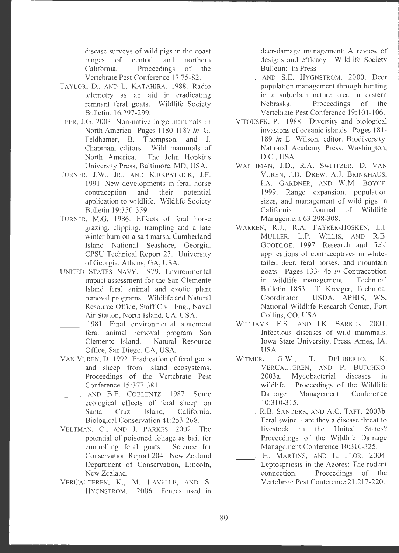disease surveys of wild pigs in the coast ranges of central and northern California. Proceedings of the Vertebrate Pest Conference 17:75-82.

- TAYLOR, D., AND L. KATAHIRA. 1988. Radio telemetry as an aid in eradicating remnant feral goats. Wildlife Society Bulletin. 16:297-299.
- TEER, J.G. 2003. Non-native large mammals in North America. Pages 1180-1187 *in* G. Feldhamer, B. Thompson, and J. Chapman, editors. Wild mammals of North America. The John Hopkins University Press, Baltimore, MD, USA.
- TURNER, J.W., JR., AND KIRKPATRICK, J.F. 1991. New developments in feral horse contraception and their potential application to wildlife. Wildlife Society Bulletin 19:350 -359.
- TURNER, M.G. 1986. Effects of feral horse grazing, clipping, trampling and a late winter bum on a salt marsh, Cumberland Island National Seashore, Georgia. CPSU Technical Report 23. University of Georgia, Athens, GA, USA.
- UNITED STATES NAVY. 1979. Environmental impact assessment for the San Clemente Island feral animal and exotic plant removal programs. Wildlife and Natural Resource Office, Staff Civil Eng., Naval Air Station, North Island, CA, USA.
	- 1981. Final environmental statement feral animal removal program San Clemente Island. Natural Resource Office, San Diego, CA, USA.
- VANVUREN, D. 1992. Eradication of feral goats and sheep from island ecosystems. Proceedings of the Vertebrate Pest Conference 15:377-381
- AND B.E. COBLENTZ. 1987. Some  $\mathbf{A}$ ecological effects of feral sheep on Santa Cruz Island, California. Biological Conservation 41 :253-268.
- VELTMAN, C., AND J. PARKES. 2002. The potential of poisoned foliage as bait for controlling feral goats. Science for Conservation Report 204. New Zealand Department of Conservation, Lincoln, New Zealand.
- VERCAUTEREN, **K., M.** LAVELLE, AND **S.**  HYGNSTROM. 2006 Fences used in

deer-damage management: A review of designs and efficacy. Wildlife Society Bulletin: In Press

- AND S.E. HYGNSTROM. 2000. Deer population management through hunting in a suburban nature area in eastern Nebraska. Proceedings of the Vertebrate Pest Conference 19: 101-106 .
- VITOUSEK, P. 1988. Diversity and biological invasions of oceanic islands. Pages 181- 189 *in* E. Wilson, editor. Biodiversity. National Academy Press, Washington, D.C., USA
- W AITHMAN, J.D., R.A. SWEITZER, D. VAN VUREN, J.D. DREW, A.J. BRINKHAUS, I.A. GARDNER, AND W.M. BOYCE. 1999. Range expansion, population sizes, and management of wild pigs in California. Journal of Wildlife Management 63 :298-308.
- WARREN, R.J., R.A. FAYRER-HOSKEN, L.I. MULLER, L.P. WILLIS, AND R.B. GOODLOE. 1997. Research and field applications of contraceptives in whitetailed deer, feral horses, and mountain goats. Pages 133-145 *in* Contraception in wildlife management. Technical Bulletin 1853. T. Kreeger, Technical Coordinator USDA, APHIS, WS, National Wildlife Research Center, Fort Collins, CO, USA.
- WILLIAMS, E.S., AND I.K. BARKER. 2001. Infectious diseases of wild mammals. Iowa State University. Press, Ames, IA, USA.
- WITMER, G.W., T. DELIBERTO, **K.**  VERCAUTEREN, AND P. BUTCHKO. 2003a. Mycobacterial diseases in wildlife. Proceedings of the Wildlife Damage Management Conference 10:3 10-315 .
	- , **R.B.** SANDERS, AND A.C. TAFT. 2003b. Feral swine - are they a disease threat to livestock in the United States? Proceedings of the Wildlife Damage Management Conference 10:3 16-325.
- H. MARTINS, AND L. FLOR. 2004. Leptospriosis in the Azores: The rodent connection. Proceedings of the Vertebrate Pest Conference 21:217-220.